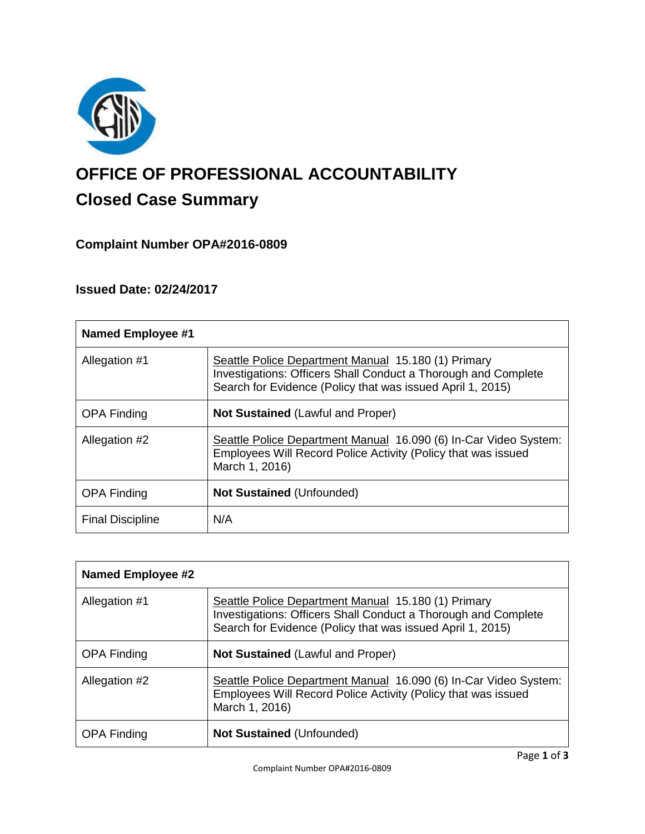

# **OFFICE OF PROFESSIONAL ACCOUNTABILITY Closed Case Summary**

# **Complaint Number OPA#2016-0809**

# **Issued Date: 02/24/2017**

| <b>Named Employee #1</b> |                                                                                                                                                                                     |
|--------------------------|-------------------------------------------------------------------------------------------------------------------------------------------------------------------------------------|
| Allegation #1            | Seattle Police Department Manual 15.180 (1) Primary<br>Investigations: Officers Shall Conduct a Thorough and Complete<br>Search for Evidence (Policy that was issued April 1, 2015) |
| <b>OPA Finding</b>       | <b>Not Sustained (Lawful and Proper)</b>                                                                                                                                            |
| Allegation #2            | Seattle Police Department Manual 16.090 (6) In-Car Video System:<br>Employees Will Record Police Activity (Policy that was issued<br>March 1, 2016)                                 |
| <b>OPA Finding</b>       | <b>Not Sustained (Unfounded)</b>                                                                                                                                                    |
| <b>Final Discipline</b>  | N/A                                                                                                                                                                                 |

| <b>Named Employee #2</b> |                                                                                                                                                                                     |
|--------------------------|-------------------------------------------------------------------------------------------------------------------------------------------------------------------------------------|
| Allegation #1            | Seattle Police Department Manual 15.180 (1) Primary<br>Investigations: Officers Shall Conduct a Thorough and Complete<br>Search for Evidence (Policy that was issued April 1, 2015) |
| <b>OPA Finding</b>       | <b>Not Sustained (Lawful and Proper)</b>                                                                                                                                            |
| Allegation #2            | Seattle Police Department Manual 16.090 (6) In-Car Video System:<br>Employees Will Record Police Activity (Policy that was issued<br>March 1, 2016)                                 |
| <b>OPA Finding</b>       | <b>Not Sustained (Unfounded)</b>                                                                                                                                                    |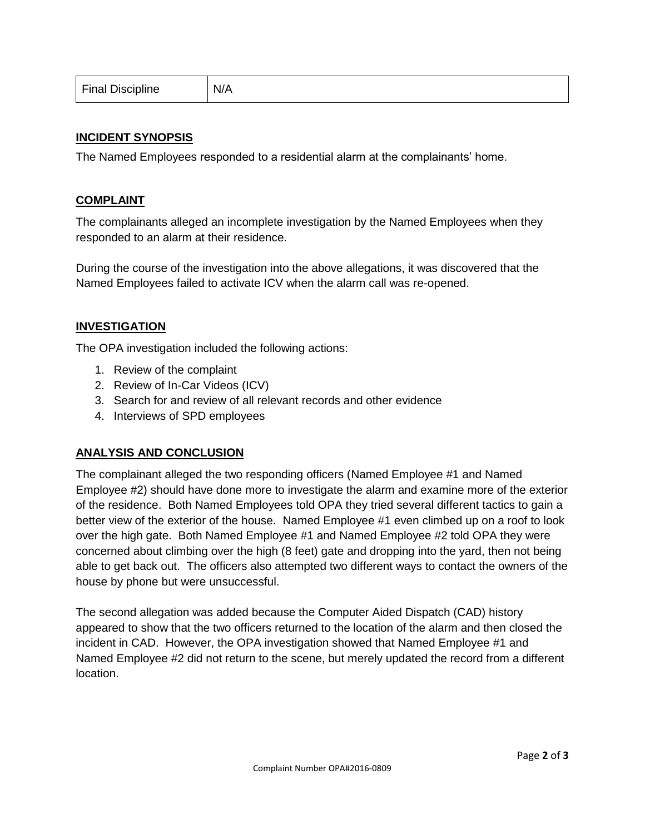| Final Discipline | N/A |
|------------------|-----|
|------------------|-----|

# **INCIDENT SYNOPSIS**

The Named Employees responded to a residential alarm at the complainants' home.

#### **COMPLAINT**

The complainants alleged an incomplete investigation by the Named Employees when they responded to an alarm at their residence.

During the course of the investigation into the above allegations, it was discovered that the Named Employees failed to activate ICV when the alarm call was re-opened.

## **INVESTIGATION**

The OPA investigation included the following actions:

- 1. Review of the complaint
- 2. Review of In-Car Videos (ICV)
- 3. Search for and review of all relevant records and other evidence
- 4. Interviews of SPD employees

#### **ANALYSIS AND CONCLUSION**

The complainant alleged the two responding officers (Named Employee #1 and Named Employee #2) should have done more to investigate the alarm and examine more of the exterior of the residence. Both Named Employees told OPA they tried several different tactics to gain a better view of the exterior of the house. Named Employee #1 even climbed up on a roof to look over the high gate. Both Named Employee #1 and Named Employee #2 told OPA they were concerned about climbing over the high (8 feet) gate and dropping into the yard, then not being able to get back out. The officers also attempted two different ways to contact the owners of the house by phone but were unsuccessful.

The second allegation was added because the Computer Aided Dispatch (CAD) history appeared to show that the two officers returned to the location of the alarm and then closed the incident in CAD. However, the OPA investigation showed that Named Employee #1 and Named Employee #2 did not return to the scene, but merely updated the record from a different location.